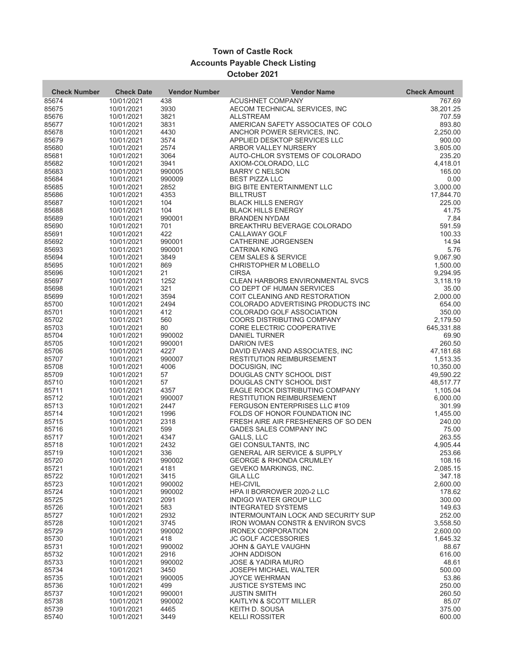## **Town of Castle Rock Accounts Payable Check Listing October 2021**

| <b>Check Number</b> | <b>Check Date</b>        | <b>Vendor Number</b> | <b>Vendor Name</b>                                             | <b>Check Amount</b>   |
|---------------------|--------------------------|----------------------|----------------------------------------------------------------|-----------------------|
| 85674               | 10/01/2021               | 438                  | <b>ACUSHNET COMPANY</b>                                        | 767.69                |
| 85675               | 10/01/2021               | 3930                 | AECOM TECHNICAL SERVICES, INC                                  | 38,201.25             |
| 85676               | 10/01/2021               | 3821                 | ALLSTREAM                                                      | 707.59                |
| 85677               | 10/01/2021               | 3831                 | AMERICAN SAFETY ASSOCIATES OF COLO                             | 893.80                |
| 85678               | 10/01/2021               | 4430                 | ANCHOR POWER SERVICES, INC.                                    | 2,250.00              |
| 85679<br>85680      | 10/01/2021<br>10/01/2021 | 3574<br>2574         | APPLIED DESKTOP SERVICES LLC<br>ARBOR VALLEY NURSERY           | 900.00<br>3,605.00    |
| 85681               | 10/01/2021               | 3064                 | AUTO-CHLOR SYSTEMS OF COLORADO                                 | 235.20                |
| 85682               | 10/01/2021               | 3941                 | AXIOM-COLORADO, LLC                                            | 4,418.01              |
| 85683               | 10/01/2021               | 990005               | <b>BARRY C NELSON</b>                                          | 165.00                |
| 85684               | 10/01/2021               | 990009               | <b>BEST PIZZA LLC</b>                                          | 0.00                  |
| 85685               | 10/01/2021               | 2852                 | BIG BITE ENTERTAINMENT LLC                                     | 3,000.00              |
| 85686               | 10/01/2021               | 4353                 | <b>BILLTRUST</b>                                               | 17,844.70             |
| 85687               | 10/01/2021               | 104                  | <b>BLACK HILLS ENERGY</b>                                      | 225.00                |
| 85688               | 10/01/2021               | 104                  | <b>BLACK HILLS ENERGY</b>                                      | 41.75                 |
| 85689<br>85690      | 10/01/2021<br>10/01/2021 | 990001<br>701        | <b>BRANDEN NYDAM</b><br>BREAKTHRU BEVERAGE COLORADO            | 7.84<br>591.59        |
| 85691               | 10/01/2021               | 422                  | CALLAWAY GOLF                                                  | 100.33                |
| 85692               | 10/01/2021               | 990001               | CATHERINE JORGENSEN                                            | 14.94                 |
| 85693               | 10/01/2021               | 990001               | <b>CATRINA KING</b>                                            | 5.76                  |
| 85694               | 10/01/2021               | 3849                 | <b>CEM SALES &amp; SERVICE</b>                                 | 9,067.90              |
| 85695               | 10/01/2021               | 869                  | <b>CHRISTOPHER M LOBELLO</b>                                   | 1,500.00              |
| 85696               | 10/01/2021               | 21                   | <b>CIRSA</b>                                                   | 9,294.95              |
| 85697               | 10/01/2021               | 1252                 | <b>CLEAN HARBORS ENVIRONMENTAL SVCS</b>                        | 3,118.19              |
| 85698               | 10/01/2021               | 321                  | CO DEPT OF HUMAN SERVICES                                      | 35.00                 |
| 85699               | 10/01/2021               | 3594                 | COIT CLEANING AND RESTORATION                                  | 2,000.00              |
| 85700<br>85701      | 10/01/2021<br>10/01/2021 | 2494<br>412          | COLORADO ADVERTISING PRODUCTS INC<br>COLORADO GOLF ASSOCIATION | 654.00<br>350.00      |
| 85702               | 10/01/2021               | 560                  | COORS DISTRIBUTING COMPANY                                     | 2,179.50              |
| 85703               | 10/01/2021               | 80                   | CORE ELECTRIC COOPERATIVE                                      | 645,331.88            |
| 85704               | 10/01/2021               | 990002               | <b>DANIEL TURNER</b>                                           | 69.90                 |
| 85705               | 10/01/2021               | 990001               | <b>DARION IVES</b>                                             | 260.50                |
| 85706               | 10/01/2021               | 4227                 | DAVID EVANS AND ASSOCIATES, INC                                | 47,181.68             |
| 85707               | 10/01/2021               | 990007               | RESTITUTION REIMBURSEMENT                                      | 1,513.35              |
| 85708               | 10/01/2021               | 4006                 | DOCUSIGN, INC                                                  | 10,350.00             |
| 85709               | 10/01/2021               | 57                   | DOUGLAS CNTY SCHOOL DIST                                       | 49,590.22             |
| 85710<br>85711      | 10/01/2021<br>10/01/2021 | 57<br>4357           | DOUGLAS CNTY SCHOOL DIST<br>EAGLE ROCK DISTRIBUTING COMPANY    | 48,517.77<br>1,105.04 |
| 85712               | 10/01/2021               | 990007               | <b>RESTITUTION REIMBURSEMENT</b>                               | 6,000.00              |
| 85713               | 10/01/2021               | 2447                 | FERGUSON ENTERPRISES LLC #109                                  | 301.99                |
| 85714               | 10/01/2021               | 1996                 | FOLDS OF HONOR FOUNDATION INC                                  | 1,455.00              |
| 85715               | 10/01/2021               | 2318                 | FRESH AIRE AIR FRESHENERS OF SO DEN                            | 240.00                |
| 85716               | 10/01/2021               | 599                  | GADES SALES COMPANY INC                                        | 75.00                 |
| 85717               | 10/01/2021               | 4347                 | GALLS, LLC                                                     | 263.55                |
| 85718               | 10/01/2021               | 2432                 | <b>GEI CONSULTANTS, INC</b>                                    | 4,905.44              |
| 85719               | 10/01/2021               | 336                  | <b>GENERAL AIR SERVICE &amp; SUPPLY</b>                        | 253.66                |
| 85720<br>85721      | 10/01/2021<br>10/01/2021 | 990002<br>4181       | <b>GEORGE &amp; RHONDA CRUMLEY</b><br>GEVEKO MARKINGS, INC.    | 108.16<br>2,085.15    |
| 85722               | 10/01/2021               | 3415                 | <b>GILA LLC</b>                                                | 347.18                |
| 85723               | 10/01/2021               | 990002               | <b>HEI-CIVIL</b>                                               | 2,600.00              |
| 85724               | 10/01/2021               | 990002               | HPA II BORROWER 2020-2 LLC                                     | 178.62                |
| 85725               | 10/01/2021               | 2091                 | <b>INDIGO WATER GROUP LLC</b>                                  | 300.00                |
| 85726               | 10/01/2021               | 583                  | <b>INTEGRATED SYSTEMS</b>                                      | 149.63                |
| 85727               | 10/01/2021               | 2932                 | INTERMOUNTAIN LOCK AND SECURITY SUP                            | 252.00                |
| 85728               | 10/01/2021               | 3745                 | <b>IRON WOMAN CONSTR &amp; ENVIRON SVCS</b>                    | 3,558.50              |
| 85729               | 10/01/2021               | 990002               | <b>IRONEX CORPORATION</b>                                      | 2,600.00              |
| 85730<br>85731      | 10/01/2021<br>10/01/2021 | 418<br>990002        | JC GOLF ACCESSORIES<br><b>JOHN &amp; GAYLE VAUGHN</b>          | 1,645.32<br>88.67     |
| 85732               | 10/01/2021               | 2916                 | JOHN ADDISON                                                   | 616.00                |
| 85733               | 10/01/2021               | 990002               | <b>JOSE &amp; YADIRA MURO</b>                                  | 48.61                 |
| 85734               | 10/01/2021               | 3450                 | <b>JOSEPH MICHAEL WALTER</b>                                   | 500.00                |
| 85735               | 10/01/2021               | 990005               | <b>JOYCE WEHRMAN</b>                                           | 53.86                 |
| 85736               | 10/01/2021               | 499                  | <b>JUSTICE SYSTEMS INC</b>                                     | 250.00                |
| 85737               | 10/01/2021               | 990001               | <b>JUSTIN SMITH</b>                                            | 260.50                |
| 85738               | 10/01/2021               | 990002               | KAITLYN & SCOTT MILLER                                         | 85.07                 |
| 85739<br>85740      | 10/01/2021<br>10/01/2021 | 4465<br>3449         | KEITH D. SOUSA<br><b>KELLI ROSSITER</b>                        | 375.00<br>600.00      |
|                     |                          |                      |                                                                |                       |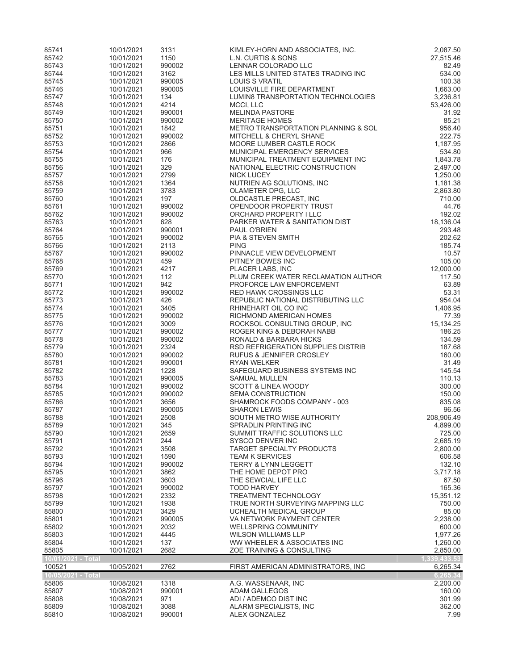| 85741              | 10/01/2021               | 3131             | KIMLEY-HORN AND ASSOCIATES, INC.                             | 2,087.50             |
|--------------------|--------------------------|------------------|--------------------------------------------------------------|----------------------|
| 85742              | 10/01/2021               | 1150             | L.N. CURTIS & SONS                                           | 27,515.46            |
| 85743              | 10/01/2021               | 990002           | LENNAR COLORADO LLC                                          | 82.49                |
| 85744<br>85745     | 10/01/2021<br>10/01/2021 | 3162<br>990005   | LES MILLS UNITED STATES TRADING INC<br><b>LOUIS S VRATIL</b> | 534.00<br>100.38     |
| 85746              | 10/01/2021               | 990005           | LOUISVILLE FIRE DEPARTMENT                                   | 1,663.00             |
| 85747              | 10/01/2021               | 134              | <b>LUMIN8 TRANSPORTATION TECHNOLOGIES</b>                    | 3,236.81             |
| 85748              | 10/01/2021               | 4214             | MCCI, LLC                                                    | 53,426.00            |
| 85749              | 10/01/2021               | 990001           | <b>MELINDA PASTORE</b>                                       | 31.92                |
| 85750              | 10/01/2021               | 990002           | <b>MERITAGE HOMES</b>                                        | 85.21                |
| 85751              | 10/01/2021               | 1842             | METRO TRANSPORTATION PLANNING & SOL                          | 956.40               |
| 85752              | 10/01/2021               | 990002           | <b>MITCHELL &amp; CHERYL SHANE</b>                           | 222.75               |
| 85753              | 10/01/2021               | 2866             | MOORE LUMBER CASTLE ROCK                                     | 1,187.95             |
| 85754              | 10/01/2021               | 966              | MUNICIPAL EMERGENCY SERVICES                                 | 534.80               |
| 85755              | 10/01/2021               | 176              | MUNICIPAL TREATMENT EQUIPMENT INC                            | 1,843.78             |
| 85756<br>85757     | 10/01/2021               | 329<br>2799      | NATIONAL ELECTRIC CONSTRUCTION                               | 2,497.00             |
| 85758              | 10/01/2021<br>10/01/2021 | 1364             | <b>NICK LUCEY</b><br>NUTRIEN AG SOLUTIONS, INC               | 1,250.00<br>1,181.38 |
| 85759              | 10/01/2021               | 3783             | OLAMETER DPG, LLC                                            | 2,863.80             |
| 85760              | 10/01/2021               | 197              | OLDCASTLE PRECAST, INC                                       | 710.00               |
| 85761              | 10/01/2021               | 990002           | OPENDOOR PROPERTY TRUST                                      | 44.76                |
| 85762              | 10/01/2021               | 990002           | ORCHARD PROPERTY I LLC                                       | 192.02               |
| 85763              | 10/01/2021               | 628              | PARKER WATER & SANITATION DIST                               | 18,136.04            |
| 85764              | 10/01/2021               | 990001           | PAUL O'BRIEN                                                 | 293.48               |
| 85765              | 10/01/2021               | 990002           | PIA & STEVEN SMITH                                           | 202.62               |
| 85766              | 10/01/2021               | 2113             | <b>PING</b>                                                  | 185.74               |
| 85767              | 10/01/2021               | 990002           | PINNACLE VIEW DEVELOPMENT                                    | 10.57                |
| 85768              | 10/01/2021               | 459              | PITNEY BOWES INC                                             | 105.00               |
| 85769              | 10/01/2021               | 4217             | PLACER LABS, INC                                             | 12,000.00            |
| 85770              | 10/01/2021               | 112              | PLUM CREEK WATER RECLAMATION AUTHOR                          | 117.50               |
| 85771              | 10/01/2021               | 942              | PROFORCE LAW ENFORCEMENT                                     | 63.89                |
| 85772              | 10/01/2021               | 990002           | <b>RED HAWK CROSSINGS LLC</b>                                | 53.31                |
| 85773              | 10/01/2021               | 426              | REPUBLIC NATIONAL DISTRIBUTING LLC                           | 954.04               |
| 85774              | 10/01/2021               | 3405             | RHINEHART OIL CO INC                                         | 1,406.95             |
| 85775              | 10/01/2021               | 990002           | RICHMOND AMERICAN HOMES                                      | 77.39                |
| 85776              | 10/01/2021               | 3009             | ROCKSOL CONSULTING GROUP, INC                                | 15,134.25            |
| 85777<br>85778     | 10/01/2021<br>10/01/2021 | 990002<br>990002 | ROGER KING & DEBORAH NABB<br>RONALD & BARBARA HICKS          | 186.25<br>134.59     |
| 85779              | 10/01/2021               | 2324             | RSD REFRIGERATION SUPPLIES DISTRIB                           | 187.68               |
| 85780              | 10/01/2021               | 990002           | <b>RUFUS &amp; JENNIFER CROSLEY</b>                          | 160.00               |
| 85781              | 10/01/2021               | 990001           | RYAN WELKER                                                  | 31.49                |
| 85782              | 10/01/2021               | 1228             | SAFEGUARD BUSINESS SYSTEMS INC                               | 145.54               |
| 85783              | 10/01/2021               | 990005           | <b>SAMUAL MULLEN</b>                                         | 110.13               |
| 85784              | 10/01/2021               | 990002           | <b>SCOTT &amp; LINEA WOODY</b>                               | 300.00               |
| 85785              | 10/01/2021               | 990002           | <b>SEMA CONSTRUCTION</b>                                     | 150.00               |
| 85786              | 10/01/2021               | 3656             | SHAMROCK FOODS COMPANY - 003                                 | 835.08               |
| 85787              | 10/01/2021               | 990005           | <b>SHARON LEWIS</b>                                          | 96.56                |
| 85788              | 10/01/2021               | 2508             | SOUTH METRO WISE AUTHORITY                                   | 208,906.49           |
| 85789              | 10/01/2021               | 345              | SPRADLIN PRINTING INC                                        | 4,899.00             |
| 85790              | 10/01/2021               | 2659             | SUMMIT TRAFFIC SOLUTIONS LLC                                 | 725.00               |
| 85791              | 10/01/2021               | 244              | SYSCO DENVER INC                                             | 2,685.19             |
| 85792              | 10/01/2021               | 3508             | TARGET SPECIALTY PRODUCTS                                    | 2,800.00             |
| 85793              | 10/01/2021               | 1590             | <b>TEAM K SERVICES</b>                                       | 606.58               |
| 85794              | 10/01/2021               | 990002           | <b>TERRY &amp; LYNN LEGGETT</b>                              | 132.10               |
| 85795              | 10/01/2021               | 3862             | THE HOME DEPOT PRO                                           | 3,717.18             |
| 85796              | 10/01/2021               | 3603             | THE SEWCIAL LIFE LLC                                         | 67.50                |
| 85797              | 10/01/2021               | 990002           | <b>TODD HARVEY</b>                                           | 165.36               |
| 85798<br>85799     | 10/01/2021               | 2332<br>1938     | TREATMENT TECHNOLOGY<br>TRUE NORTH SURVEYING MAPPING LLC     | 15,351.12<br>750.00  |
| 85800              | 10/01/2021<br>10/01/2021 | 3429             | UCHEALTH MEDICAL GROUP                                       | 85.00                |
| 85801              | 10/01/2021               | 990005           | VA NETWORK PAYMENT CENTER                                    | 2,238.00             |
| 85802              | 10/01/2021               | 2032             | <b>WELLSPRING COMMUNITY</b>                                  | 600.00               |
| 85803              | 10/01/2021               | 4445             | <b>WILSON WILLIAMS LLP</b>                                   | 1,977.26             |
| 85804              | 10/01/2021               | 137              | WW WHEELER & ASSOCIATES INC                                  | 1,260.00             |
| 85805              | 10/01/2021               | 2682             | ZOE TRAINING & CONSULTING                                    | 2,850.00             |
| 10/01/2021 - Total |                          |                  |                                                              | 1,339,433.53         |
| 100521             | 10/05/2021               | 2762             | FIRST AMERICAN ADMINISTRATORS, INC                           | 6,265.34             |
| 10/05/2021 - Total |                          |                  |                                                              | 6,265.34             |
| 85806              | 10/08/2021               | 1318             | A.G. WASSENAAR, INC                                          | 2,200.00             |
| 85807              | 10/08/2021               | 990001           | ADAM GALLEGOS                                                | 160.00               |
| 85808              | 10/08/2021               | 971              | ADI / ADEMCO DIST INC                                        | 301.99               |
| 85809              | 10/08/2021               | 3088             | ALARM SPECIALISTS, INC                                       | 362.00               |
| 85810              | 10/08/2021               | 990001           | ALEX GONZALEZ                                                | 7.99                 |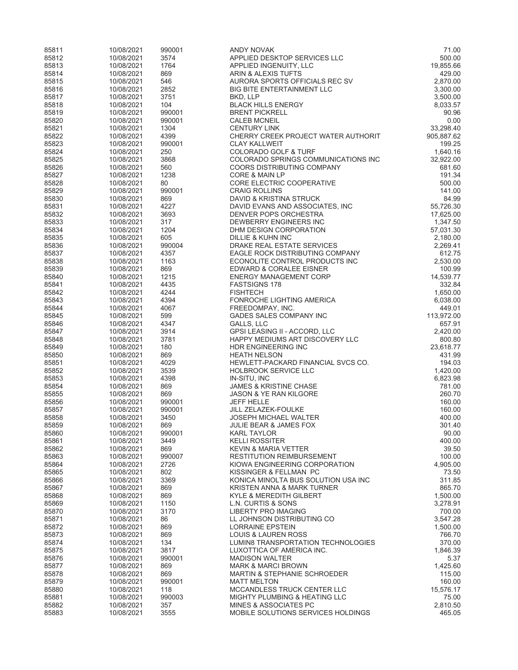| 85811          | 10/08/2021               | 990001       | <b>ANDY NOVAK</b>                                             | 71.00              |
|----------------|--------------------------|--------------|---------------------------------------------------------------|--------------------|
| 85812          | 10/08/2021               | 3574         | APPLIED DESKTOP SERVICES LLC                                  | 500.00             |
| 85813          | 10/08/2021               | 1764         | APPLIED INGENUITY, LLC                                        | 19,855.66          |
| 85814<br>85815 | 10/08/2021<br>10/08/2021 | 869<br>546   | ARIN & ALEXIS TUFTS<br>AURORA SPORTS OFFICIALS REC SV         | 429.00<br>2,870.00 |
| 85816          | 10/08/2021               | 2852         | <b>BIG BITE ENTERTAINMENT LLC</b>                             | 3,300.00           |
| 85817          | 10/08/2021               | 3751         | BKD, LLP                                                      | 3,500.00           |
| 85818          | 10/08/2021               | 104          | <b>BLACK HILLS ENERGY</b>                                     | 8,033.57           |
| 85819          | 10/08/2021               | 990001       | <b>BRENT PICKRELL</b>                                         | 90.96              |
| 85820          | 10/08/2021               | 990001       | <b>CALEB MCNEIL</b>                                           | 0.00               |
| 85821          | 10/08/2021               | 1304         | <b>CENTURY LINK</b>                                           | 33,298.40          |
| 85822          | 10/08/2021               | 4399         | CHERRY CREEK PROJECT WATER AUTHORIT                           | 905,887.62         |
| 85823          | 10/08/2021               | 990001       | <b>CLAY KALLWEIT</b>                                          | 199.25             |
| 85824          | 10/08/2021               | 250          | <b>COLORADO GOLF &amp; TURF</b>                               | 1,640.16           |
| 85825          | 10/08/2021               | 3868         | COLORADO SPRINGS COMMUNICATIONS INC                           | 32,922.00          |
| 85826          | 10/08/2021               | 560          | COORS DISTRIBUTING COMPANY                                    | 681.60             |
| 85827<br>85828 | 10/08/2021<br>10/08/2021 | 1238<br>80   | <b>CORE &amp; MAIN LP</b><br>CORE ELECTRIC COOPERATIVE        | 191.34<br>500.00   |
| 85829          | 10/08/2021               | 990001       | <b>CRAIG ROLLINS</b>                                          | 141.00             |
| 85830          | 10/08/2021               | 869          | DAVID & KRISTINA STRUCK                                       | 84.99              |
| 85831          | 10/08/2021               | 4227         | DAVID EVANS AND ASSOCIATES, INC                               | 55,726.30          |
| 85832          | 10/08/2021               | 3693         | <b>DENVER POPS ORCHESTRA</b>                                  | 17,625.00          |
| 85833          | 10/08/2021               | 317          | DEWBERRY ENGINEERS INC                                        | 1,347.50           |
| 85834          | 10/08/2021               | 1204         | DHM DESIGN CORPORATION                                        | 57,031.30          |
| 85835          | 10/08/2021               | 605          | <b>DILLIE &amp; KUHN INC</b>                                  | 2,180.00           |
| 85836          | 10/08/2021               | 990004       | DRAKE REAL ESTATE SERVICES                                    | 2,269.41           |
| 85837          | 10/08/2021               | 4357         | EAGLE ROCK DISTRIBUTING COMPANY                               | 612.75             |
| 85838          | 10/08/2021               | 1163         | ECONOLITE CONTROL PRODUCTS INC                                | 2,530.00           |
| 85839          | 10/08/2021               | 869          | EDWARD & CORALEE EISNER                                       | 100.99             |
| 85840          | 10/08/2021               | 1215<br>4435 | <b>ENERGY MANAGEMENT CORP</b>                                 | 14,539.77          |
| 85841<br>85842 | 10/08/2021<br>10/08/2021 | 4244         | <b>FASTSIGNS 178</b><br><b>FISHTECH</b>                       | 332.84<br>1,650.00 |
| 85843          | 10/08/2021               | 4394         | FONROCHE LIGHTING AMERICA                                     | 6,038.00           |
| 85844          | 10/08/2021               | 4067         | FREEDOMPAY, INC.                                              | 449.01             |
| 85845          | 10/08/2021               | 599          | GADES SALES COMPANY INC                                       | 113,972.00         |
| 85846          | 10/08/2021               | 4347         | <b>GALLS, LLC</b>                                             | 657.91             |
| 85847          | 10/08/2021               | 3914         | GPSI LEASING II - ACCORD, LLC                                 | 2,420.00           |
| 85848          | 10/08/2021               | 3781         | HAPPY MEDIUMS ART DISCOVERY LLC                               | 800.80             |
| 85849          | 10/08/2021               | 180          | HDR ENGINEERING INC                                           | 23,618.77          |
| 85850          | 10/08/2021               | 869          | <b>HEATH NELSON</b>                                           | 431.99             |
| 85851          | 10/08/2021               | 4029         | HEWLETT-PACKARD FINANCIAL SVCS CO.                            | 194.03             |
| 85852          | 10/08/2021               | 3539         | <b>HOLBROOK SERVICE LLC</b><br>IN-SITU, INC                   | 1,420.00           |
| 85853<br>85854 | 10/08/2021<br>10/08/2021 | 4398<br>869  | <b>JAMES &amp; KRISTINE CHASE</b>                             | 6,823.98<br>781.00 |
| 85855          | 10/08/2021               | 869          | <b>JASON &amp; YE RAN KILGORE</b>                             | 260.70             |
| 85856          | 10/08/2021               | 990001       | <b>JEFF HELLE</b>                                             | 160.00             |
| 85857          | 10/08/2021               | 990001       | JILL ZELAZEK-FOULKE                                           | 160.00             |
| 85858          | 10/08/2021               | 3450         | <b>JOSEPH MICHAEL WALTER</b>                                  | 400.00             |
| 85859          | 10/08/2021               | 869          | JULIE BEAR & JAMES FOX                                        | 301.40             |
| 85860          | 10/08/2021               | 990001       | <b>KARL TAYLOR</b>                                            | 90.00              |
| 85861          | 10/08/2021               | 3449         | <b>KELLI ROSSITER</b>                                         | 400.00             |
| 85862          | 10/08/2021               | 869          | <b>KEVIN &amp; MARIA VETTER</b>                               | 39.50              |
| 85863          | 10/08/2021               | 990007       | <b>RESTITUTION REIMBURSEMENT</b>                              | 100.00             |
| 85864<br>85865 | 10/08/2021<br>10/08/2021 | 2726<br>802  | KIOWA ENGINEERING CORPORATION<br>KISSINGER & FELLMAN PC       | 4,905.00<br>73.50  |
| 85866          | 10/08/2021               | 3369         | KONICA MINOLTA BUS SOLUTION USA INC                           | 311.85             |
| 85867          | 10/08/2021               | 869          | KRISTEN ANNA & MARK TURNER                                    | 865.70             |
| 85868          | 10/08/2021               | 869          | <b>KYLE &amp; MEREDITH GILBERT</b>                            | 1,500.00           |
| 85869          | 10/08/2021               | 1150         | L.N. CURTIS & SONS                                            | 3,278.91           |
| 85870          | 10/08/2021               | 3170         | <b>LIBERTY PRO IMAGING</b>                                    | 700.00             |
| 85871          | 10/08/2021               | 86           | LL JOHNSON DISTRIBUTING CO                                    | 3,547.28           |
| 85872          | 10/08/2021               | 869          | <b>LORRAINE EPSTEIN</b>                                       | 1,500.00           |
| 85873          | 10/08/2021               | 869          | <b>LOUIS &amp; LAUREN ROSS</b>                                | 766.70             |
| 85874          | 10/08/2021               | 134          | LUMIN8 TRANSPORTATION TECHNOLOGIES                            | 370.00             |
| 85875          | 10/08/2021               | 3817         | LUXOTTICA OF AMERICA INC.                                     | 1,846.39           |
| 85876          | 10/08/2021               | 990001       | <b>MADISON WALTER</b>                                         | 5.37               |
| 85877<br>85878 | 10/08/2021<br>10/08/2021 | 869<br>869   | <b>MARK &amp; MARCI BROWN</b><br>MARTIN & STEPHANIE SCHROEDER | 1,425.60<br>115.00 |
| 85879          | 10/08/2021               | 990001       | <b>MATT MELTON</b>                                            | 160.00             |
| 85880          | 10/08/2021               | 118          | MCCANDLESS TRUCK CENTER LLC                                   | 15,576.17          |
| 85881          | 10/08/2021               | 990003       | <b>MIGHTY PLUMBING &amp; HEATING LLC</b>                      | 75.00              |
| 85882          | 10/08/2021               | 357          | <b>MINES &amp; ASSOCIATES PC</b>                              | 2,810.50           |
| 85883          | 10/08/2021               | 3555         | MOBILE SOLUTIONS SERVICES HOLDINGS                            | 465.05             |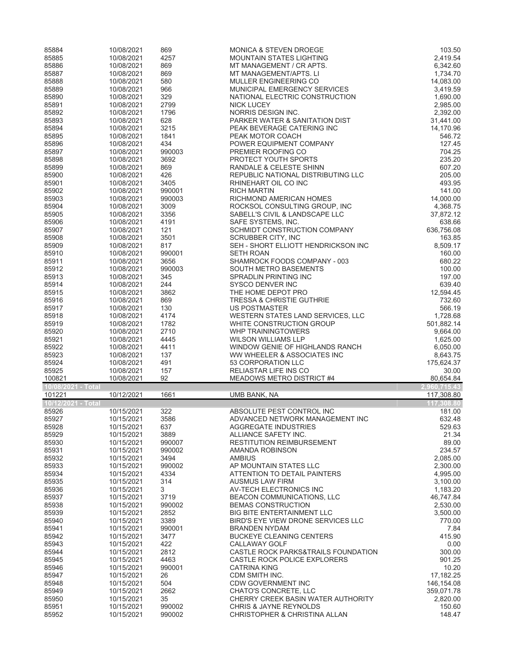| 85884                        | 10/08/2021               | 869           | <b>MONICA &amp; STEVEN DROEGE</b>                                       | 103.50                   |
|------------------------------|--------------------------|---------------|-------------------------------------------------------------------------|--------------------------|
| 85885                        | 10/08/2021               | 4257          | <b>MOUNTAIN STATES LIGHTING</b>                                         | 2,419.54                 |
| 85886                        | 10/08/2021               | 869           | MT MANAGEMENT / CR APTS.                                                | 6,342.60                 |
| 85887<br>85888               | 10/08/2021<br>10/08/2021 | 869<br>580    | MT MANAGEMENT/APTS. LI<br>MULLER ENGINEERING CO                         | 1,734.70<br>14,083.00    |
| 85889                        | 10/08/2021               | 966           | MUNICIPAL EMERGENCY SERVICES                                            | 3,419.59                 |
| 85890                        | 10/08/2021               | 329           | NATIONAL ELECTRIC CONSTRUCTION                                          | 1,690.00                 |
| 85891                        | 10/08/2021               | 2799          | <b>NICK LUCEY</b>                                                       | 2,985.00                 |
| 85892                        | 10/08/2021               | 1796          | NORRIS DESIGN INC.                                                      | 2,392.00                 |
| 85893                        | 10/08/2021               | 628           | PARKER WATER & SANITATION DIST                                          | 31,441.00                |
| 85894                        | 10/08/2021               | 3215          | PEAK BEVERAGE CATERING INC                                              | 14,170.96                |
| 85895                        | 10/08/2021               | 1841          | PEAK MOTOR COACH                                                        | 546.72                   |
| 85896                        | 10/08/2021<br>10/08/2021 | 434<br>990003 | POWER EQUIPMENT COMPANY<br>PREMIER ROOFING CO                           | 127.45<br>704.25         |
| 85897<br>85898               | 10/08/2021               | 3692          | PROTECT YOUTH SPORTS                                                    | 235.20                   |
| 85899                        | 10/08/2021               | 869           | <b>RANDALE &amp; CELESTE SHINN</b>                                      | 607.20                   |
| 85900                        | 10/08/2021               | 426           | REPUBLIC NATIONAL DISTRIBUTING LLC                                      | 205.00                   |
| 85901                        | 10/08/2021               | 3405          | RHINEHART OIL CO INC                                                    | 493.95                   |
| 85902                        | 10/08/2021               | 990001        | <b>RICH MARTIN</b>                                                      | 141.00                   |
| 85903                        | 10/08/2021               | 990003        | RICHMOND AMERICAN HOMES                                                 | 14,000.00                |
| 85904                        | 10/08/2021               | 3009          | ROCKSOL CONSULTING GROUP, INC                                           | 4,368.75                 |
| 85905                        | 10/08/2021               | 3356          | SABELL'S CIVIL & LANDSCAPE LLC                                          | 37,872.12                |
| 85906<br>85907               | 10/08/2021<br>10/08/2021 | 4191<br>121   | SAFE SYSTEMS, INC.<br>SCHMIDT CONSTRUCTION COMPANY                      | 638.66<br>636,756.08     |
| 85908                        | 10/08/2021               | 3501          | <b>SCRUBBER CITY, INC</b>                                               | 163.85                   |
| 85909                        | 10/08/2021               | 817           | SEH - SHORT ELLIOTT HENDRICKSON INC                                     | 8,509.17                 |
| 85910                        | 10/08/2021               | 990001        | <b>SETH ROAN</b>                                                        | 160.00                   |
| 85911                        | 10/08/2021               | 3656          | SHAMROCK FOODS COMPANY - 003                                            | 680.22                   |
| 85912                        | 10/08/2021               | 990003        | <b>SOUTH METRO BASEMENTS</b>                                            | 100.00                   |
| 85913                        | 10/08/2021               | 345           | <b>SPRADLIN PRINTING INC</b>                                            | 197.00                   |
| 85914                        | 10/08/2021               | 244           | SYSCO DENVER INC                                                        | 639.40                   |
| 85915                        | 10/08/2021               | 3862          | THE HOME DEPOT PRO                                                      | 12,594.45                |
| 85916<br>85917               | 10/08/2021               | 869<br>130    | <b>TRESSA &amp; CHRISTIE GUTHRIE</b>                                    | 732.60<br>566.19         |
| 85918                        | 10/08/2021<br>10/08/2021 | 4174          | US POSTMASTER<br>WESTERN STATES LAND SERVICES, LLC                      | 1,728.68                 |
| 85919                        | 10/08/2021               | 1782          | WHITE CONSTRUCTION GROUP                                                | 501,882.14               |
|                              |                          |               |                                                                         |                          |
|                              |                          |               |                                                                         |                          |
| 85920<br>85921               | 10/08/2021<br>10/08/2021 | 2710<br>4445  | WHP TRAININGTOWERS<br><b>WILSON WILLIAMS LLP</b>                        | 9,664.00<br>1,625.00     |
| 85922                        | 10/08/2021               | 4411          | WINDOW GENIE OF HIGHLANDS RANCH                                         | 6,050.00                 |
| 85923                        | 10/08/2021               | 137           | WW WHEELER & ASSOCIATES INC                                             | 8,643.75                 |
| 85924                        | 10/08/2021               | 491           | 53 CORPORATION LLC                                                      | 175,624.37               |
| 85925                        | 10/08/2021               | 157           | RELIASTAR LIFE INS CO                                                   | 30.00                    |
| 100821                       | 10/08/2021               | 92            | MEADOWS METRO DISTRICT #4                                               | 80,654.84                |
| 10/08/2021 - Total           |                          |               |                                                                         | 2,960<br>.715.43         |
| 101221<br>10/12/2021 - Total | 10/12/2021               | 1661          | UMB BANK, NA                                                            | 117,308.80<br>117.308.80 |
| 85926                        | 10/15/2021               | 322           | ABSOLUTE PEST CONTROL INC                                               | 181.00                   |
| 85927                        | 10/15/2021               | 3586          | ADVANCED NETWORK MANAGEMENT INC                                         | 632.48                   |
| 85928                        | 10/15/2021               | 637           | AGGREGATE INDUSTRIES                                                    | 529.63                   |
| 85929                        | 10/15/2021               | 3889          | ALLIANCE SAFETY INC.                                                    | 21.34                    |
| 85930                        | 10/15/2021               | 990007        | <b>RESTITUTION REIMBURSEMENT</b>                                        | 89.00                    |
| 85931                        | 10/15/2021               | 990002        | AMANDA ROBINSON                                                         | 234.57                   |
| 85932                        | 10/15/2021               | 3494          | <b>AMBIUS</b>                                                           | 2,085.00                 |
| 85933                        | 10/15/2021               | 990002        | AP MOUNTAIN STATES LLC<br>ATTENTION TO DETAIL PAINTERS                  | 2,300.00                 |
| 85934<br>85935               | 10/15/2021<br>10/15/2021 | 4334<br>314   | <b>AUSMUS LAW FIRM</b>                                                  | 4,995.00<br>3,100.00     |
| 85936                        | 10/15/2021               | 3             | AV-TECH ELECTRONICS INC                                                 | 1,183.20                 |
| 85937                        | 10/15/2021               | 3719          | BEACON COMMUNICATIONS, LLC                                              | 46,747.84                |
| 85938                        | 10/15/2021               | 990002        | <b>BEMAS CONSTRUCTION</b>                                               | 2,530.00                 |
| 85939                        | 10/15/2021               | 2852          | <b>BIG BITE ENTERTAINMENT LLC</b>                                       | 3,500.00                 |
| 85940                        | 10/15/2021               | 3389          | BIRD'S EYE VIEW DRONE SERVICES LLC                                      | 770.00                   |
| 85941                        | 10/15/2021               | 990001        | <b>BRANDEN NYDAM</b>                                                    | 7.84                     |
| 85942<br>85943               | 10/15/2021<br>10/15/2021 | 3477<br>422   | <b>BUCKEYE CLEANING CENTERS</b><br>CALLAWAY GOLF                        | 415.90<br>0.00           |
| 85944                        | 10/15/2021               | 2812          | CASTLE ROCK PARKS&TRAILS FOUNDATION                                     | 300.00                   |
| 85945                        | 10/15/2021               | 4463          | CASTLE ROCK POLICE EXPLORERS                                            | 901.25                   |
| 85946                        | 10/15/2021               | 990001        | <b>CATRINA KING</b>                                                     | 10.20                    |
| 85947                        | 10/15/2021               | 26            | CDM SMITH INC.                                                          | 17,182.25                |
| 85948                        | 10/15/2021               | 504           | <b>CDW GOVERNMENT INC</b>                                               | 146,154.08               |
| 85949                        | 10/15/2021               | 2662          | CHATO'S CONCRETE, LLC                                                   | 359,071.78               |
| 85950<br>85951               | 10/15/2021<br>10/15/2021 | 35<br>990002  | CHERRY CREEK BASIN WATER AUTHORITY<br><b>CHRIS &amp; JAYNE REYNOLDS</b> | 2,820.00<br>150.60       |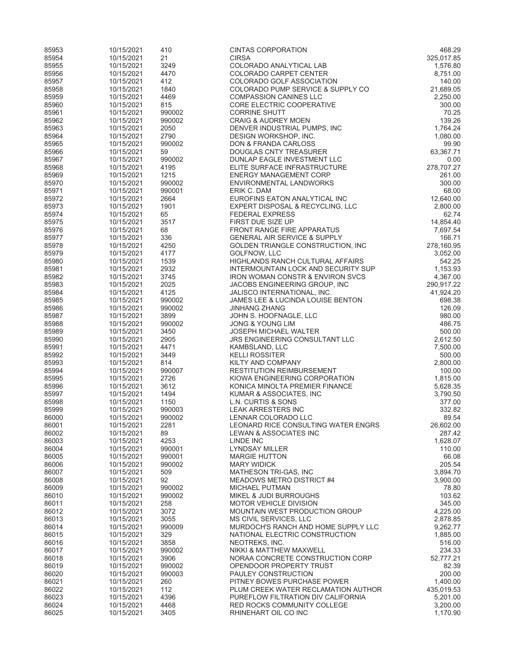| 85953          | 10/15/2021               | 410            | <b>CINTAS CORPORATION</b>                                             | 468.29                 |
|----------------|--------------------------|----------------|-----------------------------------------------------------------------|------------------------|
| 85954          | 10/15/2021               | 21             | <b>CIRSA</b>                                                          | 325,017.85             |
| 85955<br>85956 | 10/15/2021<br>10/15/2021 | 3249<br>4470   | COLORADO ANALYTICAL LAB<br>COLORADO CARPET CENTER                     | 1,576.80<br>8,751.00   |
| 85957          | 10/15/2021               | 412            | COLORADO GOLF ASSOCIATION                                             | 140.00                 |
| 85958          | 10/15/2021               | 1840           | COLORADO PUMP SERVICE & SUPPLY CO                                     | 21,689.05              |
| 85959          | 10/15/2021               | 4469           | <b>COMPASSION CANINES LLC</b>                                         | 2,250.00               |
| 85960          | 10/15/2021               | 815            | CORE ELECTRIC COOPERATIVE                                             | 300.00                 |
| 85961          | 10/15/2021               | 990002         | <b>CORRINE SHUTT</b>                                                  | 70.25                  |
| 85962          | 10/15/2021               | 990002         | <b>CRAIG &amp; AUDREY MOEN</b>                                        | 139.26                 |
| 85963<br>85964 | 10/15/2021<br>10/15/2021 | 2050<br>2790   | DENVER INDUSTRIAL PUMPS, INC<br>DESIGN WORKSHOP, INC.                 | 1,764.24<br>1,080.00   |
| 85965          | 10/15/2021               | 990002         | DON & FRANDA CARLOSS                                                  | 99.90                  |
| 85966          | 10/15/2021               | 59             | DOUGLAS CNTY TREASURER                                                | 63,367.71              |
| 85967          | 10/15/2021               | 990002         | DUNLAP EAGLE INVESTMENT LLC                                           | 0.00                   |
| 85968          | 10/15/2021               | 4195           | ELITE SURFACE INFRASTRUCTURE                                          | 278,707.27             |
| 85969          | 10/15/2021               | 1215           | <b>ENERGY MANAGEMENT CORP</b>                                         | 261.00                 |
| 85970          | 10/15/2021               | 990002         | ENVIRONMENTAL LANDWORKS                                               | 300.00                 |
| 85971<br>85972 | 10/15/2021<br>10/15/2021 | 990001<br>2664 | ERIK C. DAM<br>EUROFINS EATON ANALYTICAL INC                          | 68.00<br>12,640.00     |
| 85973          | 10/15/2021               | 1901           | EXPERT DISPOSAL & RECYCLING, LLC                                      | 2,800.00               |
| 85974          | 10/15/2021               | 65             | <b>FEDERAL EXPRESS</b>                                                | 62.74                  |
| 85975          | 10/15/2021               | 3517           | FIRST DUE SIZE UP                                                     | 14,854.40              |
| 85976          | 10/15/2021               | 68             | FRONT RANGE FIRE APPARATUS                                            | 7,697.54               |
| 85977          | 10/15/2021               | 336            | <b>GENERAL AIR SERVICE &amp; SUPPLY</b>                               | 166.71                 |
| 85978          | 10/15/2021               | 4250<br>4177   | GOLDEN TRIANGLE CONSTRUCTION, INC                                     | 278,160.95             |
| 85979<br>85980 | 10/15/2021<br>10/15/2021 | 1539           | GOLFNOW, LLC<br>HIGHLANDS RANCH CULTURAL AFFAIRS                      | 3,052.00<br>542.25     |
| 85981          | 10/15/2021               | 2932           | INTERMOUNTAIN LOCK AND SECURITY SUP                                   | 1,153.93               |
| 85982          | 10/15/2021               | 3745           | <b>IRON WOMAN CONSTR &amp; ENVIRON SVCS</b>                           | 4,367.00               |
| 85983          | 10/15/2021               | 2025           | JACOBS ENGINEERING GROUP, INC                                         | 290,917.22             |
| 85984          | 10/15/2021               | 4125           | <b>JALISCO INTERNATIONAL, INC.</b>                                    | 41,924.20              |
| 85985          | 10/15/2021               | 990002         | JAMES LEE & LUCINDA LOUISE BENTON                                     | 698.38                 |
| 85986<br>85987 | 10/15/2021<br>10/15/2021 | 990002<br>3899 | <b>JINHANG ZHANG</b><br>JOHN S. HOOFNAGLE, LLC                        | 126.09<br>980.00       |
| 85988          | 10/15/2021               | 990002         | <b>JONG &amp; YOUNG LIM</b>                                           | 486.75                 |
| 85989          | 10/15/2021               | 3450           | <b>JOSEPH MICHAEL WALTER</b>                                          | 500.00                 |
| 85990          | 10/15/2021               | 2905           | JRS ENGINEERING CONSULTANT LLC                                        | 2,612.50               |
| 85991          | 10/15/2021               | 4471           | KAMBSLAND, LLC                                                        | 7,500.00               |
| 85992          | 10/15/2021               | 3449           | <b>KELLI ROSSITER</b>                                                 | 500.00                 |
| 85993<br>85994 | 10/15/2021<br>10/15/2021 | 814<br>990007  | KILTY AND COMPANY<br><b>RESTITUTION REIMBURSEMENT</b>                 | 2,800.00<br>100.00     |
| 85995          | 10/15/2021               | 2726           | KIOWA ENGINEERING CORPORATION                                         | 1,815.00               |
| 85996          | 10/15/2021               | 3612           | KONICA MINOLTA PREMIER FINANCE                                        | 5,628.35               |
| 85997          | 10/15/2021               | 1494           | KUMAR & ASSOCIATES, INC                                               | 3,790.50               |
| 85998          | 10/15/2021               | 1150           | L.N. CURTIS & SONS                                                    | 377.00                 |
| 85999          | 10/15/2021               | 990003         | <b>LEAK ARRESTERS INC</b>                                             | 332.82                 |
| 86000<br>86001 | 10/15/2021<br>10/15/2021 | 990002<br>2281 | LENNAR COLORADO LLC<br>LEONARD RICE CONSULTING WATER ENGRS            | 89.54<br>26,602.00     |
| 86002          | 10/15/2021               | 89             | LEWAN & ASSOCIATES INC                                                | 287.42                 |
| 86003          | 10/15/2021               | 4253           | LINDE INC                                                             | 1,628.07               |
| 86004          | 10/15/2021               | 990001         | <b>LYNDSAY MILLER</b>                                                 | 110.00                 |
| 86005          | 10/15/2021               | 990001         | <b>MARGIE HUTTON</b>                                                  | 66.08                  |
| 86006          | 10/15/2021               | 990002         | <b>MARY WIDICK</b>                                                    | 205.54                 |
| 86007<br>86008 | 10/15/2021<br>10/15/2021 | 509<br>92      | MATHESON TRI-GAS, INC<br>MEADOWS METRO DISTRICT #4                    | 3,894.70<br>3,900.00   |
| 86009          | 10/15/2021               | 990002         | <b>MICHAEL PUTMAN</b>                                                 | 78.80                  |
| 86010          | 10/15/2021               | 990002         | MIKEL & JUDI BURROUGHS                                                | 103.62                 |
| 86011          | 10/15/2021               | 258            | MOTOR VEHICLE DIVISION                                                | 345.00                 |
| 86012          | 10/15/2021               | 3072           | <b>MOUNTAIN WEST PRODUCTION GROUP</b>                                 | 4,225.00               |
| 86013          | 10/15/2021               | 3055           | MS CIVIL SERVICES, LLC                                                | 2,878.85               |
| 86014<br>86015 | 10/15/2021<br>10/15/2021 | 990009<br>329  | MURDOCH'S RANCH AND HOME SUPPLY LLC<br>NATIONAL ELECTRIC CONSTRUCTION | 9,262.77<br>1,885.00   |
| 86016          | 10/15/2021               | 3858           | NEOTREKS, INC.                                                        | 516.00                 |
| 86017          | 10/15/2021               | 990002         | NIKKI & MATTHEW MAXWELL                                               | 234.33                 |
| 86018          | 10/15/2021               | 3906           | NORAA CONCRETE CONSTRUCTION CORP                                      | 52,777.21              |
| 86019          | 10/15/2021               | 990002         | OPENDOOR PROPERTY TRUST                                               | 82.39                  |
| 86020          | 10/15/2021               | 990003         | PAULEY CONSTRUCTION                                                   | 200.00                 |
| 86021<br>86022 | 10/15/2021<br>10/15/2021 | 260<br>112     | PITNEY BOWES PURCHASE POWER<br>PLUM CREEK WATER RECLAMATION AUTHOR    | 1,400.00<br>435,019.53 |
| 86023          | 10/15/2021               | 4396           | PUREFLOW FILTRATION DIV CALIFORNIA                                    | 5,201.00               |
| 86024          | 10/15/2021               | 4468           | RED ROCKS COMMUNITY COLLEGE                                           | 3,200.00               |
| 86025          | 10/15/2021               | 3405           | RHINEHART OIL CO INC                                                  | 1,170.90               |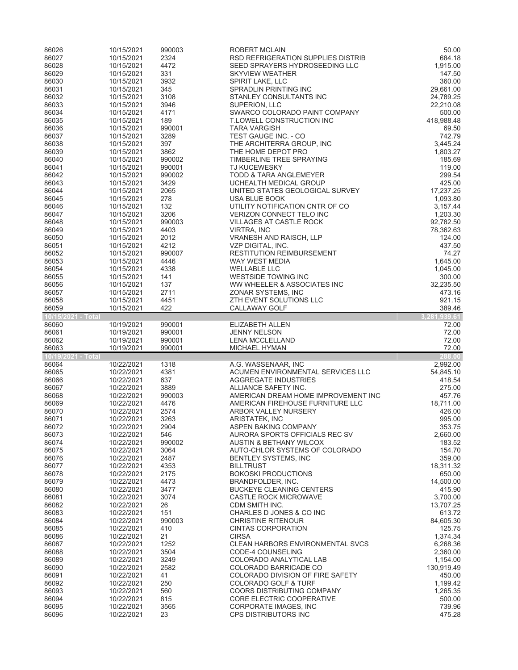| 86026              | 10/15/2021               | 990003         | ROBERT MCLAIN                                               | 50.00                  |
|--------------------|--------------------------|----------------|-------------------------------------------------------------|------------------------|
| 86027              | 10/15/2021               | 2324           | RSD REFRIGERATION SUPPLIES DISTRIB                          | 684.18                 |
| 86028              | 10/15/2021               | 4472           | SEED SPRAYERS HYDROSEEDING LLC                              | 1,915.00               |
| 86029<br>86030     | 10/15/2021<br>10/15/2021 | 331<br>3932    | <b>SKYVIEW WEATHER</b><br>SPIRIT LAKE, LLC                  | 147.50<br>360.00       |
| 86031              | 10/15/2021               | 345            | SPRADLIN PRINTING INC                                       | 29,661.00              |
| 86032              | 10/15/2021               | 3108           | STANLEY CONSULTANTS INC                                     | 24,789.25              |
| 86033              | 10/15/2021               | 3946           | SUPERION, LLC                                               | 22,210.08              |
| 86034              | 10/15/2021               | 4171           | SWARCO COLORADO PAINT COMPANY                               | 500.00                 |
| 86035              | 10/15/2021               | 189            | T.LOWELL CONSTRUCTION INC                                   | 418,988.48             |
| 86036              | 10/15/2021               | 990001         | <b>TARA VARGISH</b>                                         | 69.50                  |
| 86037              | 10/15/2021               | 3289           | TEST GAUGE INC. - CO                                        | 742.79                 |
| 86038<br>86039     | 10/15/2021<br>10/15/2021 | 397<br>3862    | THE ARCHITERRA GROUP, INC<br>THE HOME DEPOT PRO             | 3,445.24<br>1,803.27   |
| 86040              | 10/15/2021               | 990002         | TIMBERLINE TREE SPRAYING                                    | 185.69                 |
| 86041              | 10/15/2021               | 990001         | <b>TJ KUCEWESKY</b>                                         | 119.00                 |
| 86042              | 10/15/2021               | 990002         | <b>TODD &amp; TARA ANGLEMEYER</b>                           | 299.54                 |
| 86043              | 10/15/2021               | 3429           | UCHEALTH MEDICAL GROUP                                      | 425.00                 |
| 86044              | 10/15/2021               | 2065           | UNITED STATES GEOLOGICAL SURVEY                             | 17,237.25              |
| 86045              | 10/15/2021               | 278            | USA BLUE BOOK                                               | 1,093.80               |
| 86046              | 10/15/2021               | 132            | UTILITY NOTIFICATION CNTR OF CO                             | 3,157.44               |
| 86047              | 10/15/2021               | 3206           | <b>VERIZON CONNECT TELO INC</b>                             | 1,203.30               |
| 86048<br>86049     | 10/15/2021<br>10/15/2021 | 990003<br>4403 | <b>VILLAGES AT CASTLE ROCK</b><br><b>VIRTRA, INC</b>        | 92,782.50<br>78,362.63 |
| 86050              | 10/15/2021               | 2012           | VRANESH AND RAISCH, LLP                                     | 124.00                 |
| 86051              | 10/15/2021               | 4212           | VZP DIGITAL, INC.                                           | 437.50                 |
| 86052              | 10/15/2021               | 990007         | <b>RESTITUTION REIMBURSEMENT</b>                            | 74.27                  |
| 86053              | 10/15/2021               | 4446           | <b>WAY WEST MEDIA</b>                                       | 1,645.00               |
| 86054              | 10/15/2021               | 4338           | <b>WELLABLE LLC</b>                                         | 1,045.00               |
| 86055              | 10/15/2021               | 141            | <b>WESTSIDE TOWING INC</b>                                  | 300.00                 |
| 86056              | 10/15/2021               | 137            | WW WHEELER & ASSOCIATES INC                                 | 32,235.50              |
| 86057              | 10/15/2021               | 2711           | ZONAR SYSTEMS, INC                                          | 473.16                 |
| 86058<br>86059     | 10/15/2021<br>10/15/2021 | 4451<br>422    | ZTH EVENT SOLUTIONS LLC<br><b>CALLAWAY GOLF</b>             | 921.15<br>389.46       |
| 10/15/2021 - Total |                          |                |                                                             | 3,281,939.61           |
| 86060              | 10/19/2021               | 990001         | ELIZABETH ALLEN                                             | 72.00                  |
|                    |                          |                |                                                             |                        |
| 86061              | 10/19/2021               | 990001         | <b>JENNY NELSON</b>                                         | 72.00                  |
| 86062              | 10/19/2021               | 990001         | <b>LENA MCCLELLAND</b>                                      | 72.00                  |
| 86063              | 10/19/2021               | 990001         | MICHAEL HYMAN                                               | 72.00                  |
| 10/19/2021 - Total |                          |                |                                                             | 288.00                 |
| 86064              | 10/22/2021               | 1318           | A.G. WASSENAAR, INC                                         | 2,992.00               |
| 86065              | 10/22/2021               | 4381           | ACUMEN ENVIRONMENTAL SERVICES LLC                           | 54,845.10              |
| 86066              | 10/22/2021               | 637            | <b>AGGREGATE INDUSTRIES</b>                                 | 418.54                 |
| 86067              | 10/22/2021               | 3889<br>990003 | ALLIANCE SAFETY INC.<br>AMERICAN DREAM HOME IMPROVEMENT INC | 275.00                 |
| 86068<br>86069     | 10/22/2021<br>10/22/2021 | 4476           | AMERICAN FIREHOUSE FURNITURE LLC                            | 457.76<br>18,711.00    |
| 86070              | 10/22/2021               | 2574           | ARBOR VALLEY NURSERY                                        | 426.00                 |
| 86071              | 10/22/2021               | 3263           | ARISTATEK, INC                                              | 995.00                 |
| 86072              | 10/22/2021               | 2904           | ASPEN BAKING COMPANY                                        | 353.75                 |
| 86073              | 10/22/2021               | 546            | AURORA SPORTS OFFICIALS REC SV                              | 2,660.00               |
| 86074              | 10/22/2021               | 990002         | AUSTIN & BETHANY WILCOX                                     | 183.52                 |
| 86075              | 10/22/2021               | 3064           | AUTO-CHLOR SYSTEMS OF COLORADO                              | 154.70                 |
| 86076              | 10/22/2021               | 2487           | BENTLEY SYSTEMS, INC                                        | 359.00                 |
| 86077<br>86078     | 10/22/2021<br>10/22/2021 | 4353<br>2175   | <b>BILLTRUST</b><br><b>BOKOSKI PRODUCTIONS</b>              | 18,311.32<br>650.00    |
| 86079              | 10/22/2021               | 4473           | BRANDFOLDER, INC.                                           | 14,500.00              |
| 86080              | 10/22/2021               | 3477           | <b>BUCKEYE CLEANING CENTERS</b>                             | 415.90                 |
| 86081              | 10/22/2021               | 3074           | CASTLE ROCK MICROWAVE                                       | 3,700.00               |
| 86082              | 10/22/2021               | 26             | CDM SMITH INC.                                              | 13,707.25              |
| 86083              | 10/22/2021               | 151            | CHARLES D JONES & CO INC                                    | 613.72                 |
| 86084              | 10/22/2021               | 990003         | <b>CHRISTINE RITENOUR</b>                                   | 84,605.30              |
| 86085              | 10/22/2021               | 410            | <b>CINTAS CORPORATION</b>                                   | 125.75                 |
| 86086<br>86087     | 10/22/2021<br>10/22/2021 | 21<br>1252     | <b>CIRSA</b><br><b>CLEAN HARBORS ENVIRONMENTAL SVCS</b>     | 1,374.34<br>6,268.36   |
| 86088              | 10/22/2021               | 3504           | CODE-4 COUNSELING                                           | 2,360.00               |
| 86089              | 10/22/2021               | 3249           | COLORADO ANALYTICAL LAB                                     | 1,154.00               |
| 86090              | 10/22/2021               | 2582           | COLORADO BARRICADE CO                                       | 130,919.49             |
| 86091              | 10/22/2021               | 41             | COLORADO DIVISION OF FIRE SAFETY                            | 450.00                 |
| 86092              | 10/22/2021               | 250            | <b>COLORADO GOLF &amp; TURF</b>                             | 1,199.42               |
| 86093              | 10/22/2021               | 560            | COORS DISTRIBUTING COMPANY                                  | 1,265.35               |
| 86094              | 10/22/2021               | 815            | CORE ELECTRIC COOPERATIVE                                   | 500.00                 |
| 86095<br>86096     | 10/22/2021<br>10/22/2021 | 3565<br>23     | CORPORATE IMAGES, INC<br>CPS DISTRIBUTORS INC               | 739.96<br>475.28       |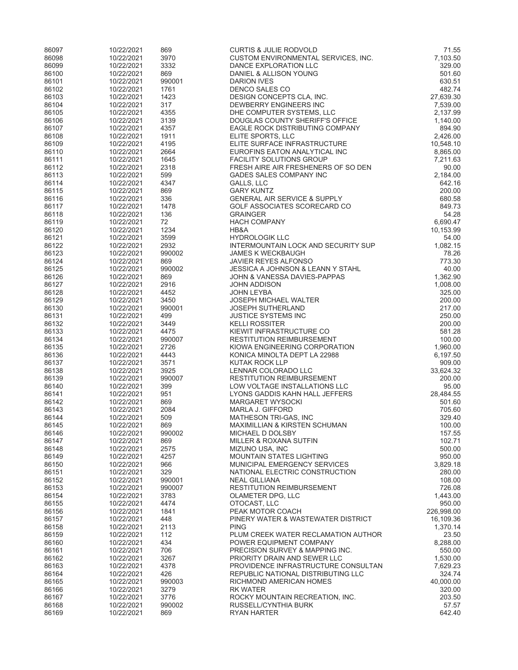| 86097          | 10/22/2021               | 869            | <b>CURTIS &amp; JULIE RODVOLD</b>                                       | 71.55                 |
|----------------|--------------------------|----------------|-------------------------------------------------------------------------|-----------------------|
| 86098          | 10/22/2021               | 3970           | CUSTOM ENVIRONMENTAL SERVICES, INC.                                     | 7,103.50              |
| 86099          | 10/22/2021               | 3332           | DANCE EXPLORATION LLC                                                   | 329.00                |
| 86100<br>86101 | 10/22/2021<br>10/22/2021 | 869<br>990001  | DANIEL & ALLISON YOUNG<br><b>DARION IVES</b>                            | 501.60<br>630.51      |
| 86102          | 10/22/2021               | 1761           | <b>DENCO SALES CO</b>                                                   | 482.74                |
| 86103          | 10/22/2021               | 1423           | DESIGN CONCEPTS CLA, INC.                                               | 27,639.30             |
| 86104          | 10/22/2021               | 317            | DEWBERRY ENGINEERS INC                                                  | 7,539.00              |
| 86105          | 10/22/2021               | 4355           | DHE COMPUTER SYSTEMS, LLC                                               | 2,137.99              |
| 86106          | 10/22/2021               | 3139           | DOUGLAS COUNTY SHERIFF'S OFFICE                                         | 1,140.00              |
| 86107          | 10/22/2021               | 4357           | EAGLE ROCK DISTRIBUTING COMPANY                                         | 894.90                |
| 86108<br>86109 | 10/22/2021<br>10/22/2021 | 1911<br>4195   | ELITE SPORTS. LLC<br>ELITE SURFACE INFRASTRUCTURE                       | 2,426.00<br>10,548.10 |
| 86110          | 10/22/2021               | 2664           | EUROFINS EATON ANALYTICAL INC                                           | 8,865.00              |
| 86111          | 10/22/2021               | 1645           | <b>FACILITY SOLUTIONS GROUP</b>                                         | 7,211.63              |
| 86112          | 10/22/2021               | 2318           | FRESH AIRE AIR FRESHENERS OF SO DEN                                     | 90.00                 |
| 86113          | 10/22/2021               | 599            | <b>GADES SALES COMPANY INC</b>                                          | 2,184.00              |
| 86114          | 10/22/2021               | 4347           | <b>GALLS, LLC</b>                                                       | 642.16                |
| 86115          | 10/22/2021               | 869            | <b>GARY KUNTZ</b>                                                       | 200.00                |
| 86116<br>86117 | 10/22/2021<br>10/22/2021 | 336<br>1478    | <b>GENERAL AIR SERVICE &amp; SUPPLY</b><br>GOLF ASSOCIATES SCORECARD CO | 680.58<br>849.73      |
| 86118          | 10/22/2021               | 136            | <b>GRAINGER</b>                                                         | 54.28                 |
| 86119          | 10/22/2021               | 72             | <b>HACH COMPANY</b>                                                     | 6,690.47              |
| 86120          | 10/22/2021               | 1234           | HB&A                                                                    | 10,153.99             |
| 86121          | 10/22/2021               | 3599           | <b>HYDROLOGIK LLC</b>                                                   | 54.00                 |
| 86122          | 10/22/2021               | 2932           | INTERMOUNTAIN LOCK AND SECURITY SUP                                     | 1,082.15              |
| 86123          | 10/22/2021               | 990002         | <b>JAMES K WECKBAUGH</b>                                                | 78.26                 |
| 86124          | 10/22/2021               | 869<br>990002  | <b>JAVIER REYES ALFONSO</b>                                             | 773.30                |
| 86125<br>86126 | 10/22/2021<br>10/22/2021 | 869            | JESSICA A JOHNSON & LEANN Y STAHL<br>JOHN & VANESSA DAVIES-PAPPAS       | 40.00<br>1,362.90     |
| 86127          | 10/22/2021               | 2916           | <b>JOHN ADDISON</b>                                                     | 1,008.00              |
| 86128          | 10/22/2021               | 4452           | <b>JOHN LEYBA</b>                                                       | 325.00                |
| 86129          | 10/22/2021               | 3450           | JOSEPH MICHAEL WALTER                                                   | 200.00                |
| 86130          | 10/22/2021               | 990001         | JOSEPH SUTHERLAND                                                       | 217.00                |
| 86131          | 10/22/2021               | 499            | <b>JUSTICE SYSTEMS INC</b>                                              | 250.00                |
| 86132          | 10/22/2021               | 3449           | <b>KELLI ROSSITER</b>                                                   | 200.00                |
| 86133<br>86134 | 10/22/2021<br>10/22/2021 | 4475<br>990007 | KIEWIT INFRASTRUCTURE CO<br><b>RESTITUTION REIMBURSEMENT</b>            | 581.28<br>100.00      |
| 86135          | 10/22/2021               | 2726           | KIOWA ENGINEERING CORPORATION                                           | 1,960.00              |
| 86136          | 10/22/2021               | 4443           | KONICA MINOLTA DEPT LA 22988                                            | 6,197.50              |
| 86137          | 10/22/2021               | 3571           | KUTAK ROCK LLP                                                          | 909.00                |
| 86138          | 10/22/2021               | 3925           | LENNAR COLORADO LLC                                                     | 33,624.32             |
| 86139          | 10/22/2021               | 990007         | <b>RESTITUTION REIMBURSEMENT</b>                                        | 200.00                |
| 86140<br>86141 | 10/22/2021               | 399            | LOW VOLTAGE INSTALLATIONS LLC                                           | 95.00                 |
| 86142          | 10/22/2021<br>10/22/2021 | 951<br>869     | LYONS GADDIS KAHN HALL JEFFERS<br><b>MARGARET WYSOCKI</b>               | 28,484.55<br>501.60   |
| 86143          | 10/22/2021               | 2084           | MARLA J. GIFFORD                                                        | 705.60                |
| 86144          | 10/22/2021               | 509            | MATHESON TRI-GAS, INC                                                   | 329.40                |
| 86145          | 10/22/2021               | 869            | MAXIMILLIAN & KIRSTEN SCHUMAN                                           | 100.00                |
| 86146          | 10/22/2021               | 990002         | MICHAEL D DOLSBY                                                        | 157.55                |
| 86147          | 10/22/2021               | 869            | MILLER & ROXANA SUTFIN                                                  | 102.71                |
| 86148<br>86149 | 10/22/2021<br>10/22/2021 | 2575<br>4257   | MIZUNO USA, INC<br>MOUNTAIN STATES LIGHTING                             | 500.00<br>950.00      |
| 86150          | 10/22/2021               | 966            | MUNICIPAL EMERGENCY SERVICES                                            | 3,829.18              |
| 86151          | 10/22/2021               | 329            | NATIONAL ELECTRIC CONSTRUCTION                                          | 280.00                |
| 86152          | 10/22/2021               | 990001         | <b>NEAL GILLIANA</b>                                                    | 108.00                |
| 86153          | 10/22/2021               | 990007         | <b>RESTITUTION REIMBURSEMENT</b>                                        | 726.08                |
| 86154          | 10/22/2021               | 3783           | OLAMETER DPG, LLC                                                       | 1,443.00              |
| 86155          | 10/22/2021               | 4474           | OTOCAST, LLC                                                            | 950.00                |
| 86156          | 10/22/2021<br>10/22/2021 | 1841           | PEAK MOTOR COACH<br>PINERY WATER & WASTEWATER DISTRICT                  | 226.998.00            |
| 86157<br>86158 | 10/22/2021               | 448<br>2113    | <b>PING</b>                                                             | 16,109.36<br>1,370.14 |
| 86159          | 10/22/2021               | 112            | PLUM CREEK WATER RECLAMATION AUTHOR                                     | 23.50                 |
| 86160          | 10/22/2021               | 434            | POWER EQUIPMENT COMPANY                                                 | 8,288.00              |
| 86161          | 10/22/2021               | 706            | PRECISION SURVEY & MAPPING INC.                                         | 550.00                |
| 86162          | 10/22/2021               | 3267           | PRIORITY DRAIN AND SEWER LLC                                            | 1,530.00              |
| 86163          | 10/22/2021               | 4378           | PROVIDENCE INFRASTRUCTURE CONSULTAN                                     | 7,629.23              |
| 86164<br>86165 | 10/22/2021<br>10/22/2021 | 426<br>990003  | REPUBLIC NATIONAL DISTRIBUTING LLC<br>RICHMOND AMERICAN HOMES           | 324.74<br>40,000.00   |
| 86166          | 10/22/2021               | 3279           | <b>RK WATER</b>                                                         | 320.00                |
| 86167          | 10/22/2021               | 3776           | ROCKY MOUNTAIN RECREATION, INC.                                         | 203.50                |
| 86168          | 10/22/2021               | 990002         | RUSSELL/CYNTHIA BURK                                                    | 57.57                 |
| 86169          | 10/22/2021               | 869            | <b>RYAN HARTER</b>                                                      | 642.40                |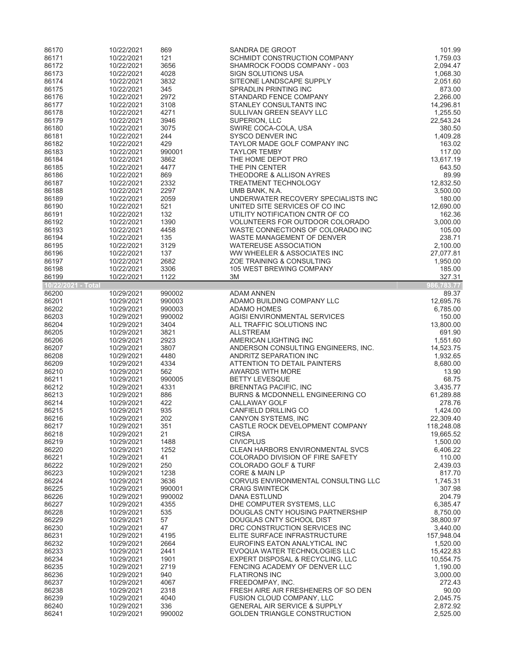| 86170              | 10/22/2021               | 869           | SANDRA DE GROOT                                                                | 101.99               |
|--------------------|--------------------------|---------------|--------------------------------------------------------------------------------|----------------------|
| 86171              | 10/22/2021               | 121           | SCHMIDT CONSTRUCTION COMPANY                                                   | 1,759.03             |
|                    |                          |               |                                                                                |                      |
| 86172              | 10/22/2021               | 3656          | SHAMROCK FOODS COMPANY - 003                                                   | 2,094.47             |
| 86173              | 10/22/2021               | 4028          | <b>SIGN SOLUTIONS USA</b>                                                      | 1,068.30             |
| 86174              | 10/22/2021               | 3832          | SITEONE LANDSCAPE SUPPLY                                                       | 2,051.60             |
| 86175              | 10/22/2021               | 345           | SPRADLIN PRINTING INC                                                          | 873.00               |
| 86176              | 10/22/2021               | 2972          | STANDARD FENCE COMPANY                                                         | 2,266.00             |
| 86177              | 10/22/2021               | 3108          | STANLEY CONSULTANTS INC                                                        | 14,296.81            |
| 86178              | 10/22/2021               | 4271          | SULLIVAN GREEN SEAVY LLC                                                       | 1,255.50             |
| 86179              | 10/22/2021               | 3946          | SUPERION, LLC                                                                  | 22,543.24            |
|                    |                          |               |                                                                                |                      |
| 86180              | 10/22/2021               | 3075          | SWIRE COCA-COLA, USA                                                           | 380.50               |
| 86181              | 10/22/2021               | 244           | SYSCO DENVER INC                                                               | 1,409.28             |
| 86182              | 10/22/2021               | 429           | TAYLOR MADE GOLF COMPANY INC                                                   | 163.02               |
| 86183              | 10/22/2021               | 990001        | <b>TAYLOR TEMBY</b>                                                            | 117.00               |
| 86184              | 10/22/2021               | 3862          | THE HOME DEPOT PRO                                                             | 13,617.19            |
| 86185              | 10/22/2021               | 4477          | THE PIN CENTER                                                                 | 643.50               |
| 86186              | 10/22/2021               | 869           | THEODORE & ALLISON AYRES                                                       | 89.99                |
| 86187              | 10/22/2021               | 2332          | TREATMENT TECHNOLOGY                                                           | 12,832.50            |
| 86188              |                          | 2297          |                                                                                | 3,500.00             |
|                    | 10/22/2021               |               | UMB BANK, N.A.                                                                 |                      |
| 86189              | 10/22/2021               | 2059          | UNDERWATER RECOVERY SPECIALISTS INC                                            | 180.00               |
| 86190              | 10/22/2021               | 521           | UNITED SITE SERVICES OF CO INC                                                 | 12,690.00            |
| 86191              | 10/22/2021               | 132           | UTILITY NOTIFICATION CNTR OF CO                                                | 162.36               |
| 86192              | 10/22/2021               | 1390          | VOLUNTEERS FOR OUTDOOR COLORADO                                                | 3,000.00             |
| 86193              | 10/22/2021               | 4458          | WASTE CONNECTIONS OF COLORADO INC                                              | 105.00               |
| 86194              | 10/22/2021               | 135           | WASTE MANAGEMENT OF DENVER                                                     | 238.71               |
| 86195              | 10/22/2021               | 3129          | <b>WATEREUSE ASSOCIATION</b>                                                   | 2,100.00             |
|                    | 10/22/2021               | 137           | WW WHEELER & ASSOCIATES INC                                                    |                      |
| 86196              |                          |               |                                                                                | 27,077.81            |
| 86197              | 10/22/2021               | 2682          | ZOE TRAINING & CONSULTING                                                      | 1,950.00             |
| 86198              | 10/22/2021               | 3306          | 105 WEST BREWING COMPANY                                                       | 185.00               |
| 86199              | 10/22/2021               | 1122          | 3M                                                                             | 327.31               |
| 10/22/2021 - Total |                          |               |                                                                                | 986,783.77           |
| 86200              | 10/29/2021               | 990002        | <b>ADAM ANNEN</b>                                                              | 89.37                |
| 86201              | 10/29/2021               | 990003        | ADAMO BUILDING COMPANY LLC                                                     | 12,695.76            |
| 86202              | 10/29/2021               | 990003        | ADAMO HOMES                                                                    | 6,785.00             |
| 86203              | 10/29/2021               | 990002        | AGISI ENVIRONMENTAL SERVICES                                                   | 150.00               |
| 86204              | 10/29/2021               | 3404          | ALL TRAFFIC SOLUTIONS INC                                                      | 13,800.00            |
| 86205              | 10/29/2021               | 3821          | <b>ALLSTREAM</b>                                                               | 691.90               |
|                    |                          |               |                                                                                |                      |
| 86206              | 10/29/2021               | 2923          | AMERICAN LIGHTING INC                                                          | 1,551.60             |
| 86207              | 10/29/2021               | 3807          | ANDERSON CONSULTING ENGINEERS, INC.                                            | 14,523.75            |
|                    |                          |               |                                                                                |                      |
| 86208              | 10/29/2021               | 4480          | ANDRITZ SEPARATION INC                                                         | 1,932.65             |
| 86209              | 10/29/2021               | 4334          | ATTENTION TO DETAIL PAINTERS                                                   | 8,680.00             |
|                    |                          |               |                                                                                |                      |
| 86210              | 10/29/2021               | 562           | <b>AWARDS WITH MORE</b>                                                        | 13.90                |
| 86211              | 10/29/2021               | 990005        | <b>BETTY LEVESQUE</b>                                                          | 68.75                |
| 86212              | 10/29/2021               | 4331          | <b>BRENNTAG PACIFIC, INC</b>                                                   | 3,435.77             |
| 86213              | 10/29/2021               | 886           | BURNS & MCDONNELL ENGINEERING CO                                               | 61,289.88            |
| 86214              | 10/29/2021               | 422           | CALLAWAY GOLF                                                                  | 278.76               |
| 86215              | 10/29/2021               | 935           | CANFIELD DRILLING CO                                                           | 1,424.00             |
| 86216              | 10/29/2021               | 202           | CANYON SYSTEMS, INC                                                            | 22,309.40            |
| 86217              | 10/29/2021               | 351           |                                                                                | 118,248.08           |
|                    | 10/29/2021               |               | CASTLE ROCK DEVELOPMENT COMPANY<br><b>CIRSA</b>                                |                      |
| 86218              |                          | 21            |                                                                                | 19,665.52            |
| 86219              | 10/29/2021               | 1488          | <b>CIVICPLUS</b>                                                               | 1,500.00             |
| 86220              | 10/29/2021               | 1252          | CLEAN HARBORS ENVIRONMENTAL SVCS                                               | 6,406.22             |
| 86221              | 10/29/2021               | 41            | COLORADO DIVISION OF FIRE SAFETY                                               | 110.00               |
| 86222              | 10/29/2021               | 250           | COLORADO GOLF & TURF                                                           | 2,439.03             |
| 86223              | 10/29/2021               | 1238          | CORE & MAIN LP                                                                 | 817.70               |
| 86224              | 10/29/2021               | 3636          | CORVUS ENVIRONMENTAL CONSULTING LLC                                            | 1,745.31             |
| 86225              | 10/29/2021               | 990001        | <b>CRAIG SWINTECK</b>                                                          | 307.98               |
| 86226              | 10/29/2021               | 990002        | <b>DANA ESTLUND</b>                                                            | 204.79               |
| 86227              |                          |               |                                                                                |                      |
|                    | 10/29/2021               | 4355          | DHE COMPUTER SYSTEMS, LLC                                                      | 6,385.47             |
| 86228              | 10/29/2021               | 535           | DOUGLAS CNTY HOUSING PARTNERSHIP                                               | 8,750.00             |
| 86229              | 10/29/2021               | 57            | DOUGLAS CNTY SCHOOL DIST                                                       | 38,800.97            |
| 86230              | 10/29/2021               | 47            | DRC CONSTRUCTION SERVICES INC                                                  | 3,440.00             |
| 86231              | 10/29/2021               | 4195          | ELITE SURFACE INFRASTRUCTURE                                                   | 157,948.04           |
| 86232              | 10/29/2021               | 2664          | EUROFINS EATON ANALYTICAL INC                                                  | 1,520.00             |
| 86233              | 10/29/2021               | 2441          | EVOQUA WATER TECHNOLOGIES LLC                                                  | 15,422.83            |
| 86234              | 10/29/2021               | 1901          | EXPERT DISPOSAL & RECYCLING, LLC                                               | 10,554.75            |
| 86235              | 10/29/2021               | 2719          | FENCING ACADEMY OF DENVER LLC                                                  | 1,190.00             |
| 86236              | 10/29/2021               | 940           | <b>FLATIRONS INC</b>                                                           | 3,000.00             |
|                    |                          |               |                                                                                |                      |
| 86237              | 10/29/2021               | 4067          | FREEDOMPAY, INC.                                                               | 272.43               |
| 86238              | 10/29/2021               | 2318          | FRESH AIRE AIR FRESHENERS OF SO DEN                                            | 90.00                |
| 86239              | 10/29/2021               | 4040          | FUSION CLOUD COMPANY, LLC                                                      | 2,045.75             |
| 86240<br>86241     | 10/29/2021<br>10/29/2021 | 336<br>990002 | <b>GENERAL AIR SERVICE &amp; SUPPLY</b><br><b>GOLDEN TRIANGLE CONSTRUCTION</b> | 2,872.92<br>2,525.00 |